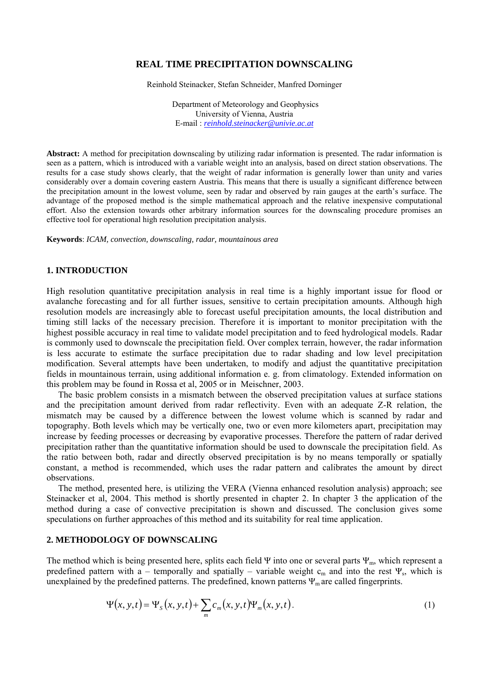## **REAL TIME PRECIPITATION DOWNSCALING**

Reinhold Steinacker, Stefan Schneider, Manfred Dorninger

 Department of Meteorology and Geophysics University of Vienna, Austria E-mail : *reinhold.steinacker@univie.ac.at*

**Abstract:** A method for precipitation downscaling by utilizing radar information is presented. The radar information is seen as a pattern, which is introduced with a variable weight into an analysis, based on direct station observations. The results for a case study shows clearly, that the weight of radar information is generally lower than unity and varies considerably over a domain covering eastern Austria. This means that there is usually a significant difference between the precipitation amount in the lowest volume, seen by radar and observed by rain gauges at the earth's surface. The advantage of the proposed method is the simple mathematical approach and the relative inexpensive computational effort. Also the extension towards other arbitrary information sources for the downscaling procedure promises an effective tool for operational high resolution precipitation analysis.

**Keywords**: *ICAM, convection, downscaling, radar, mountainous area* 

## **1. INTRODUCTION**

High resolution quantitative precipitation analysis in real time is a highly important issue for flood or avalanche forecasting and for all further issues, sensitive to certain precipitation amounts. Although high resolution models are increasingly able to forecast useful precipitation amounts, the local distribution and timing still lacks of the necessary precision. Therefore it is important to monitor precipitation with the highest possible accuracy in real time to validate model precipitation and to feed hydrological models. Radar is commonly used to downscale the precipitation field. Over complex terrain, however, the radar information is less accurate to estimate the surface precipitation due to radar shading and low level precipitation modification. Several attempts have been undertaken, to modify and adjust the quantitative precipitation fields in mountainous terrain, using additional information e. g. from climatology. Extended information on this problem may be found in Rossa et al, 2005 or in Meischner, 2003.

The basic problem consists in a mismatch between the observed precipitation values at surface stations and the precipitation amount derived from radar reflectivity. Even with an adequate Z-R relation, the mismatch may be caused by a difference between the lowest volume which is scanned by radar and topography. Both levels which may be vertically one, two or even more kilometers apart, precipitation may increase by feeding processes or decreasing by evaporative processes. Therefore the pattern of radar derived precipitation rather than the quantitative information should be used to downscale the precipitation field. As the ratio between both, radar and directly observed precipitation is by no means temporally or spatially constant, a method is recommended, which uses the radar pattern and calibrates the amount by direct observations.

The method, presented here, is utilizing the VERA (Vienna enhanced resolution analysis) approach; see Steinacker et al, 2004. This method is shortly presented in chapter 2. In chapter 3 the application of the method during a case of convective precipitation is shown and discussed. The conclusion gives some speculations on further approaches of this method and its suitability for real time application.

### **2. METHODOLOGY OF DOWNSCALING**

The method which is being presented here, splits each field Ψ into one or several parts Ψ<sub>m</sub>, which represent a predefined pattern with a – temporally and spatially – variable weight  $c_m$  and into the rest  $\Psi_s$ , which is unexplained by the predefined patterns. The predefined, known patterns  $\Psi_m$  are called fingerprints.

$$
\Psi(x, y, t) = \Psi_s(x, y, t) + \sum_m c_m(x, y, t) \Psi_m(x, y, t).
$$
 (1)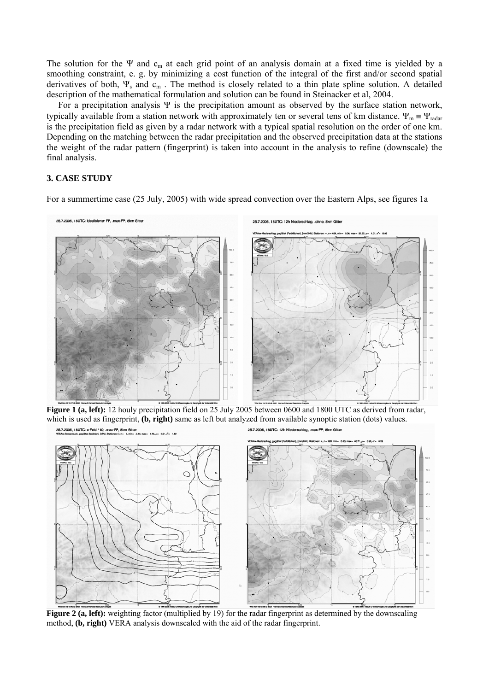The solution for the Ψ and  $c_m$  at each grid point of an analysis domain at a fixed time is yielded by a smoothing constraint, e. g. by minimizing a cost function of the integral of the first and/or second spatial derivatives of both,  $\Psi_s$  and  $c_m$ . The method is closely related to a thin plate spline solution. A detailed description of the mathematical formulation and solution can be found in Steinacker et al, 2004.

For a precipitation analysis  $\Psi$  is the precipitation amount as observed by the surface station network, typically available from a station network with approximately ten or several tens of km distance.  $\Psi_m = \Psi_{\text{radar}}$ is the precipitation field as given by a radar network with a typical spatial resolution on the order of one km. Depending on the matching between the radar precipitation and the observed precipitation data at the stations the weight of the radar pattern (fingerprint) is taken into account in the analysis to refine (downscale) the final analysis.

# **3. CASE STUDY**

For a summertime case (25 July, 2005) with wide spread convection over the Eastern Alps, see figures 1a



**Figure 1 (a, left):** 12 houly precipitation field on 25 July 2005 between 0600 and 1800 UTC as derived from radar, which is used as fingerprint, **(b, right)** same as left but analyzed from available synoptic station (dots) values. 25.7.2005, 18UTC: c-Feld \*10, .max-FP, 8km Gitter 25.7.2005. 18UTC: 12h Niederschlag, max-EP



**Figure 2 (a, left):** weighting factor (multiplied by 19) for the radar fingerprint as determined by the downscaling method, **(b, right)** VERA analysis downscaled with the aid of the radar fingerprint.